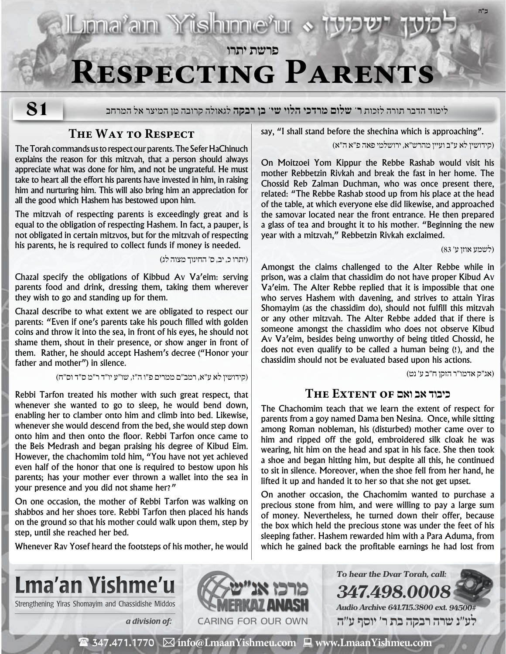# **Respecting Parents**

**פרשת יתרו**

**81**

לימוד הדבר תורה לזכות **ר' שלום מרדכי הלוי שי' בן רבקה** לגאולה קרובה מן המיצר אל המרחב

## **The Way to Respect**

The Torah commands us to respect our parents. The Sefer HaChinuch explains the reason for this mitzvah, that a person should always appreciate what was done for him, and not be ungrateful. He must take to heart all the effort his parents have invested in him, in raising him and nurturing him. This will also bring him an appreciation for all the good which Hashem has bestowed upon him.

The mitzvah of respecting parents is exceedingly great and is equal to the obligation of respecting Hashem. In fact, a pauper, is not obligated in certain mitzvos, but for the mitzvah of respecting his parents, he is required to collect funds if money is needed.

)יתרו כ, יב, ס׳ החינוך מצוה לג(

**IL mariam Yishme'ur «** 

Chazal specify the obligations of Kibbud Av Va'eim: serving parents food and drink, dressing them, taking them wherever they wish to go and standing up for them.

Chazal describe to what extent we are obligated to respect our parents: "Even if one's parents take his pouch filled with golden coins and throw it into the sea, in front of his eyes, he should not shame them, shout in their presence, or show anger in front of them. Rather, he should accept Hashem's decree ("Honor your father and mother") in silence.

)קידושין לא ע״א, רמב״ם ממרים פ״ו ה״ז, שו״ע יו״ד ר״מ ס״ד וס״ח(

Rebbi Tarfon treated his mother with such great respect, that whenever she wanted to go to sleep, he would bend down, enabling her to clamber onto him and climb into bed. Likewise, whenever she would descend from the bed, she would step down onto him and then onto the floor. Rebbi Tarfon once came to the Beis Medrash and began praising his degree of Kibud Eim. However, the chachomim told him, "You have not yet achieved even half of the honor that one is required to bestow upon his parents; has your mother ever thrown a wallet into the sea in your presence and you did not shame her?"

On one occasion, the mother of Rebbi Tarfon was walking on shabbos and her shoes tore. Rebbi Tarfon then placed his hands on the ground so that his mother could walk upon them, step by step, until she reached her bed.

Whenever Rav Yosef heard the footsteps of his mother, he would

say, "I shall stand before the shechina which is approaching".

)קידושין לא ע״ב ועיין מהרש״א, ירושלמי פאה פ״א ה״א(

On Moitzoei Yom Kippur the Rebbe Rashab would visit his mother Rebbetzin Rivkah and break the fast in her home. The Chossid Reb Zalman Duchman, who was once present there, related: "The Rebbe Rashab stood up from his place at the head of the table, at which everyone else did likewise, and approached the samovar located near the front entrance. He then prepared a glass of tea and brought it to his mother. "Beginning the new year with a mitzvah," Rebbetzin Rivkah exclaimed.

)לשמע אוזן ע׳ 83(

**ב"ה**

Amongst the claims challenged to the Alter Rebbe while in prison, was a claim that chassidim do not have proper Kibud Av Va'eim. The Alter Rebbe replied that it is impossible that one who serves Hashem with davening, and strives to attain Yiras Shomayim (as the chassidim do), should not fulfill this mitzvah or any other mitzvah. The Alter Rebbe added that if there is someone amongst the chassidim who does not observe Kibud Av Va'eim, besides being unworthy of being titled Chossid, he does not even qualify to be called a human being (!), and the chassidim should not be evaluated based upon his actions.

)אג״ק אדמו״ר הזקן ח״ב ע׳ נט(

### **כיבוד אב ואם of Extent The**

The Chachomim teach that we learn the extent of respect for parents from a goy named Dama ben Nesina. Once, while sitting among Roman nobleman, his (disturbed) mother came over to him and ripped off the gold, embroidered silk cloak he was wearing, hit him on the head and spat in his face. She then took a shoe and began hitting him, but despite all this, he continued to sit in silence. Moreover, when the shoe fell from her hand, he lifted it up and handed it to her so that she not get upset.

On another occasion, the Chachomim wanted to purchase a precious stone from him, and were willing to pay a large sum of money. Nevertheless, he turned down their offer, because the box which held the precious stone was under the feet of his sleeping father. Hashem rewarded him with a Para Aduma, from which he gained back the profitable earnings he had lost from



Strengthening Yiras Shomayim and Chassidishe Middos **NAMERKAY ANASH** 



**347.498.0008 Audio Archive 641.715.3800 ext. 94500# לע"נ שרה רבקה בת ר׳ יוסף ע"ה**

**To hear the Dvar Torah, call:**

 $\mathbf{\mathcal{F}}$  347.471.1770  $\boxtimes$  info@LmaanYishmeu.com  $\mathbf{\mathcal{F}}$  www.LmaanYishmeu.com